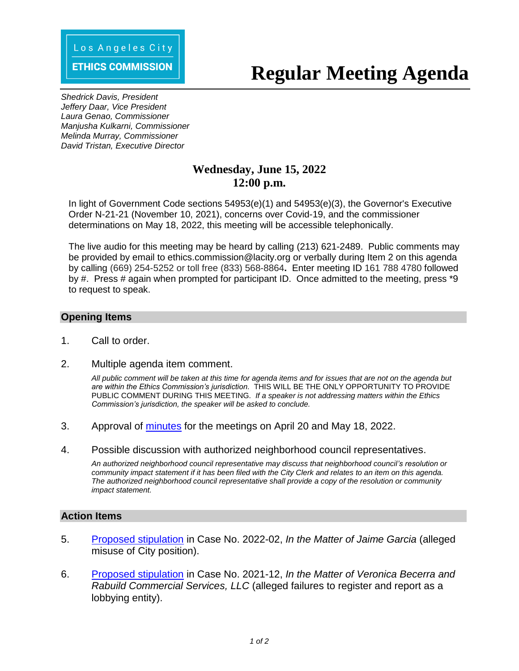#### **ETHICS COMMISSION**

# **Regular Meeting Agenda**

*Shedrick Davis, President Jeffery Daar, Vice President Laura Genao, Commissioner Manjusha Kulkarni, Commissioner Melinda Murray, Commissioner David Tristan, Executive Director*

# **Wednesday, June 15, 2022 12:00 p.m.**

In light of Government Code sections 54953(e)(1) and 54953(e)(3), the Governor's Executive Order N-21-21 (November 10, 2021), concerns over Covid-19, and the commissioner determinations on May 18, 2022, this meeting will be accessible telephonically.

The live audio for this meeting may be heard by calling (213) 621-2489. Public comments may be provided by email to ethics.commission@lacity.org or verbally during Item 2 on this agenda by calling (669) 254-5252 or toll free (833) 568-8864**.** Enter meeting ID 161 788 4780 followed by #. Press # again when prompted for participant ID. Once admitted to the meeting, press \*9 to request to speak.

# **Opening Items**

- 1. Call to order.
- 2. Multiple agenda item comment.

*All public comment will be taken at this time for agenda items and for issues that are not on the agenda but are within the Ethics Commission's jurisdiction.* THIS WILL BE THE ONLY OPPORTUNITY TO PROVIDE PUBLIC COMMENT DURING THIS MEETING. *If a speaker is not addressing matters within the Ethics Commission's jurisdiction, the speaker will be asked to conclude.* 

- 3. Approval of minutes for the meetings on [April 20 and May 18, 2022.](http://ethics.lacity.org/PDF/agenda/2022/June/20220615-Item3-Minutes.pdf)
- 4. Possible discussion with authorized neighborhood council representatives.

*An authorized neighborhood council representative may discuss that neighborhood council's resolution or community impact statement if it has been filed with the City Clerk and relates to an item on this agenda. The authorized neighborhood council representative shall provide a copy of the resolution or community impact statement.*

# **Action Items**

- 5. Proposed stipulation in Case No. 2022-02, *[In the Matter of Jaime Garcia](http://ethics.lacity.org/PDF/agenda/2022/June/20220615-Item5-Stipulation-GARCIA.pdf)* (alleged misuse of City position).
- 6. Proposed stipulation in Case No. 2021-12, *[In the Matter of Veronica Becerra and](http://ethics.lacity.org/PDF/agenda/2022/June/20220615-Item6-Stipulation-BECERRA.pdf)  Rabuild Commercial Services, LLC* (alleged failures to register and report as a lobbying entity).